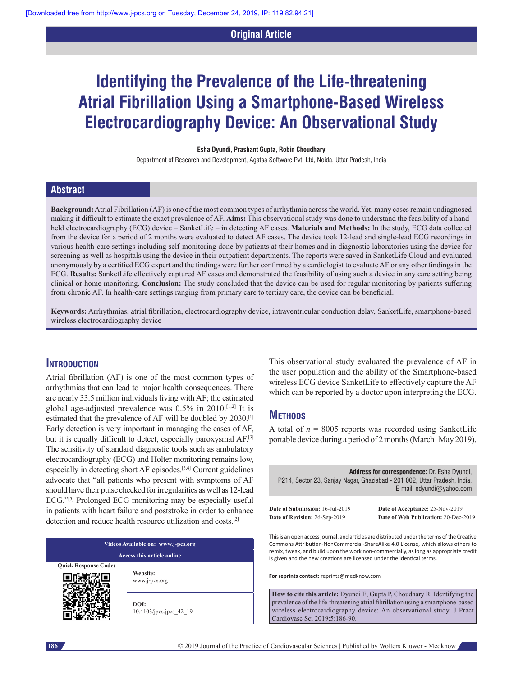## **Original Article**

# **Identifying the Prevalence of the Life‑threatening Atrial Fibrillation Using a Smartphone‑Based Wireless Electrocardiography Device: An Observational Study**

#### **Esha Dyundi, Prashant Gupta, Robin Choudhary**

Department of Research and Development, Agatsa Software Pvt. Ltd, Noida, Uttar Pradesh, India

## **Abstract**

**Background:** Atrial Fibrillation (AF) is one of the most common types of arrhythmia across the world. Yet, many cases remain undiagnosed making it difficult to estimate the exact prevalence of AF. **Aims:** This observational study was done to understand the feasibility of a handheld electrocardiography (ECG) device – SanketLife – in detecting AF cases. **Materials and Methods:** In the study, ECG data collected from the device for a period of 2 months were evaluated to detect AF cases. The device took 12-lead and single-lead ECG recordings in various health-care settings including self-monitoring done by patients at their homes and in diagnostic laboratories using the device for screening as well as hospitals using the device in their outpatient departments. The reports were saved in SanketLife Cloud and evaluated anonymously by a certified ECG expert and the findings were further confirmed by a cardiologist to evaluate AF or any other findings in the ECG. **Results:** SanketLife effectively captured AF cases and demonstrated the feasibility of using such a device in any care setting being clinical or home monitoring. **Conclusion:** The study concluded that the device can be used for regular monitoring by patients suffering from chronic AF. In health-care settings ranging from primary care to tertiary care, the device can be beneficial.

**Keywords:** Arrhythmias, atrial fibrillation, electrocardiography device, intraventricular conduction delay, SanketLife, smartphone‑based wireless electrocardiography device

## **Introduction**

Atrial fibrillation (AF) is one of the most common types of arrhythmias that can lead to major health consequences. There are nearly 33.5 million individuals living with AF; the estimated global age-adjusted prevalence was 0.5% in 2010.[1,2] It is estimated that the prevalence of AF will be doubled by 2030.[1] Early detection is very important in managing the cases of AF, but it is equally difficult to detect, especially paroxysmal AF.<sup>[3]</sup> The sensitivity of standard diagnostic tools such as ambulatory electrocardiography (ECG) and Holter monitoring remains low, especially in detecting short AF episodes.[3,4] Current guidelines advocate that "all patients who present with symptoms of AF should have their pulse checked for irregularities as well as 12-lead ECG."[5] Prolonged ECG monitoring may be especially useful in patients with heart failure and poststroke in order to enhance detection and reduce health resource utilization and costs.[2]

| Videos Available on: www.j-pcs.org |                                 |  |  |  |  |  |
|------------------------------------|---------------------------------|--|--|--|--|--|
| Access this article online         |                                 |  |  |  |  |  |
| <b>Quick Response Code:</b>        | Website:<br>www.j-pcs.org       |  |  |  |  |  |
|                                    | DOI:<br>10.4103/jpcs.jpcs 42 19 |  |  |  |  |  |

This observational study evaluated the prevalence of AF in the user population and the ability of the Smartphone-based wireless ECG device SanketLife to effectively capture the AF which can be reported by a doctor upon interpreting the ECG.

# **Methods**

A total of  $n = 8005$  reports was recorded using SanketLife portable device during a period of 2 months (March–May 2019).

|                                        | <b>Address for correspondence: Dr. Esha Dyundi,</b><br>P214, Sector 23, Sanjay Nagar, Ghaziabad - 201 002, Uttar Pradesh, India.<br>E-mail: edyundi@yahoo.com |  |  |  |  |  |
|----------------------------------------|---------------------------------------------------------------------------------------------------------------------------------------------------------------|--|--|--|--|--|
| <b>Date of Submission: 16-Jul-2019</b> | Date of Acceptance: 25-Nov-2019                                                                                                                               |  |  |  |  |  |
| Date of Revision: 26-Sep-2019          | Date of Web Publication: 20-Dec-2019                                                                                                                          |  |  |  |  |  |

This is an open access journal, and articles are distributed under the terms of the Creative Commons Attribution‑NonCommercial‑ShareAlike 4.0 License, which allows others to remix, tweak, and build upon the work non‑commercially, as long as appropriate credit is given and the new creations are licensed under the identical terms.

**For reprints contact:** reprints@medknow.com

**How to cite this article:** Dyundi E, Gupta P, Choudhary R. Identifying the prevalence of the life-threatening atrial fibrillation using a smartphone-based wireless electrocardiography device: An observational study. J Pract Cardiovasc Sci 2019;5:186-90.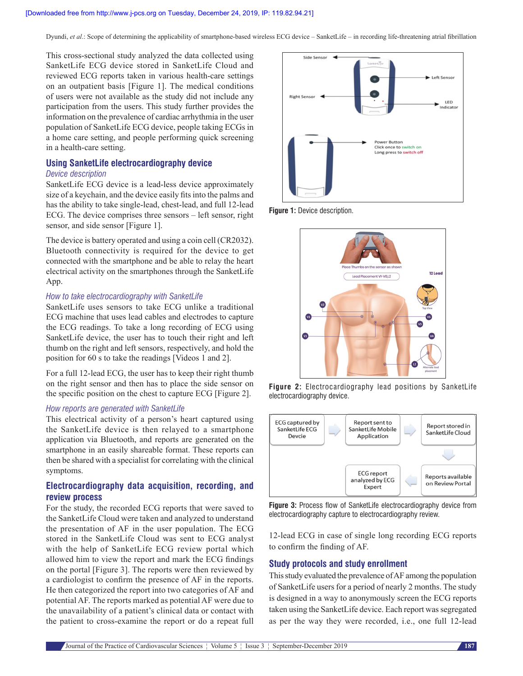This cross-sectional study analyzed the data collected using SanketLife ECG device stored in SanketLife Cloud and reviewed ECG reports taken in various health-care settings on an outpatient basis [Figure 1]. The medical conditions of users were not available as the study did not include any participation from the users. This study further provides the information on the prevalence of cardiac arrhythmia in the user population of SanketLife ECG device, people taking ECGs in a home care setting, and people performing quick screening in a health-care setting.

# **Using SanketLife electrocardiography device**

#### *Device description*

SanketLife ECG device is a lead-less device approximately size of a keychain, and the device easily fits into the palms and has the ability to take single-lead, chest-lead, and full 12-lead ECG. The device comprises three sensors – left sensor, right sensor, and side sensor [Figure 1].

The device is battery operated and using a coin cell (CR2032). Bluetooth connectivity is required for the device to get connected with the smartphone and be able to relay the heart electrical activity on the smartphones through the SanketLife App.

#### *How to take electrocardiography with SanketLife*

SanketLife uses sensors to take ECG unlike a traditional ECG machine that uses lead cables and electrodes to capture the ECG readings. To take a long recording of ECG using SanketLife device, the user has to touch their right and left thumb on the right and left sensors, respectively, and hold the position for 60 s to take the readings [Videos 1 and 2].

For a full 12-lead ECG, the user has to keep their right thumb on the right sensor and then has to place the side sensor on the specific position on the chest to capture ECG [Figure 2].

#### *How reports are generated with SanketLife*

This electrical activity of a person's heart captured using the SanketLife device is then relayed to a smartphone application via Bluetooth, and reports are generated on the smartphone in an easily shareable format. These reports can then be shared with a specialist for correlating with the clinical symptoms.

## **Electrocardiography data acquisition, recording, and review process**

For the study, the recorded ECG reports that were saved to the SanketLife Cloud were taken and analyzed to understand the presentation of AF in the user population. The ECG stored in the SanketLife Cloud was sent to ECG analyst with the help of SanketLife ECG review portal which allowed him to view the report and mark the ECG findings on the portal [Figure 3]. The reports were then reviewed by a cardiologist to confirm the presence of AF in the reports. He then categorized the report into two categories of AF and potential AF. The reports marked as potential AF were due to the unavailability of a patient's clinical data or contact with the patient to cross-examine the report or do a repeat full



**Figure 1:** Device description.



**Figure 2:** Electrocardiography lead positions by SanketLife electrocardiography device.



**Figure 3:** Process flow of SanketLife electrocardiography device from electrocardiography capture to electrocardiography review.

12-lead ECG in case of single long recording ECG reports to confirm the finding of AF.

#### **Study protocols and study enrollment**

This study evaluated the prevalence of AF among the population of SanketLife users for a period of nearly 2 months. The study is designed in a way to anonymously screen the ECG reports taken using the SanketLife device. Each report was segregated as per the way they were recorded, i.e., one full 12-lead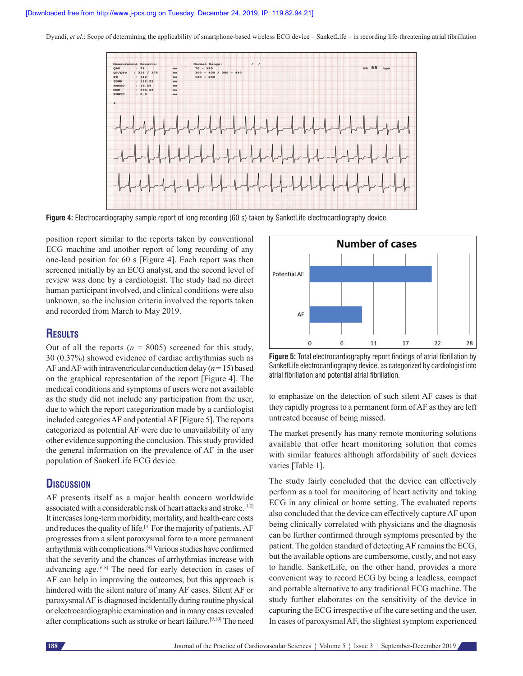

**Figure 4:** Electrocardiography sample report of long recording (60 s) taken by SanketLife electrocardiography device.

position report similar to the reports taken by conventional ECG machine and another report of long recording of any one-lead position for 60 s [Figure 4]. Each report was then screened initially by an ECG analyst, and the second level of review was done by a cardiologist. The study had no direct human participant involved, and clinical conditions were also unknown, so the inclusion criteria involved the reports taken and recorded from March to May 2019.

# **Results**

Out of all the reports  $(n = 8005)$  screened for this study, 30 (0.37%) showed evidence of cardiac arrhythmias such as AF and AF with intraventricular conduction delay (*n* = 15) based on the graphical representation of the report [Figure 4]. The medical conditions and symptoms of users were not available as the study did not include any participation from the user, due to which the report categorization made by a cardiologist included categories AF and potential AF [Figure 5]. The reports categorized as potential AF were due to unavailability of any other evidence supporting the conclusion. This study provided the general information on the prevalence of AF in the user population of SanketLife ECG device.

# **Discussion**

AF presents itself as a major health concern worldwide associated with a considerable risk of heart attacks and stroke.[1,2] It increases long-term morbidity, mortality, and health-care costs and reduces the quality of life.[4] For the majority of patients, AF progresses from a silent paroxysmal form to a more permanent arrhythmia with complications.[4] Various studies have confirmed that the severity and the chances of arrhythmias increase with advancing age.[6-8] The need for early detection in cases of AF can help in improving the outcomes, but this approach is hindered with the silent nature of many AF cases. Silent AF or paroxysmal AF is diagnosed incidentally during routine physical or electrocardiographic examination and in many cases revealed after complications such as stroke or heart failure.[9,10] The need



**Figure 5:** Total electrocardiography report findings of atrial fibrillation by SanketLife electrocardiography device, as categorized by cardiologist into atrial fibrillation and potential atrial fibrillation.

to emphasize on the detection of such silent AF cases is that they rapidly progress to a permanent form of AF as they are left untreated because of being missed.

The market presently has many remote monitoring solutions available that offer heart monitoring solution that comes with similar features although affordability of such devices varies [Table 1].

The study fairly concluded that the device can effectively perform as a tool for monitoring of heart activity and taking ECG in any clinical or home setting. The evaluated reports also concluded that the device can effectively capture AF upon being clinically correlated with physicians and the diagnosis can be further confirmed through symptoms presented by the patient. The golden standard of detecting AF remains the ECG, but the available options are cumbersome, costly, and not easy to handle. SanketLife, on the other hand, provides a more convenient way to record ECG by being a leadless, compact and portable alternative to any traditional ECG machine. The study further elaborates on the sensitivity of the device in capturing the ECG irrespective of the care setting and the user. In cases of paroxysmal AF, the slightest symptom experienced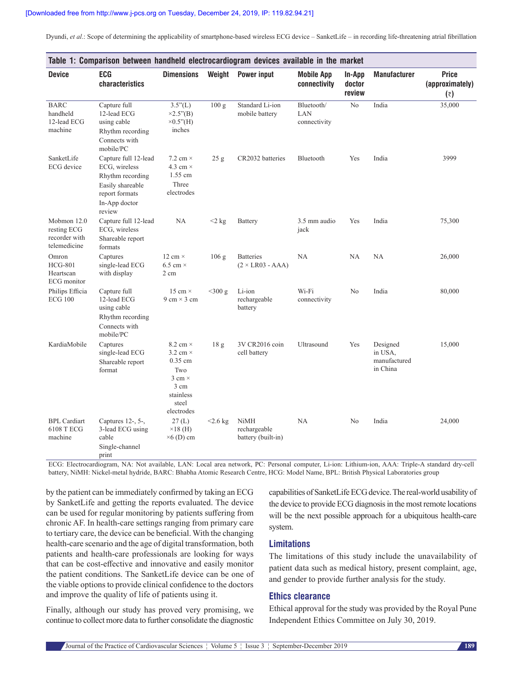| Table 1: Comparison between handheld electrocardiogram devices available in the market |                                                                                                                            |                                                                                                                             |                  |                                                   |                                   |                            |                                                 |                                        |  |  |
|----------------------------------------------------------------------------------------|----------------------------------------------------------------------------------------------------------------------------|-----------------------------------------------------------------------------------------------------------------------------|------------------|---------------------------------------------------|-----------------------------------|----------------------------|-------------------------------------------------|----------------------------------------|--|--|
| <b>Device</b>                                                                          | <b>ECG</b><br>characteristics                                                                                              | <b>Dimensions</b>                                                                                                           | Weight           | <b>Power input</b>                                | <b>Mobile App</b><br>connectivity | In-App<br>doctor<br>review | <b>Manufacturer</b>                             | <b>Price</b><br>(approximately)<br>(₹) |  |  |
| <b>BARC</b><br>handheld<br>12-lead ECG<br>machine                                      | Capture full<br>12-lead ECG<br>using cable<br>Rhythm recording<br>Connects with<br>mobile/PC                               | $3.5"({\rm L})$<br>$\times 2.5$ "(B)<br>$\times 0.5$ "(H)<br>inches                                                         | 100 <sub>g</sub> | Standard Li-ion<br>mobile battery                 | Bluetooth/<br>LAN<br>connectivity | No                         | India                                           | 35,000                                 |  |  |
| SanketLife<br>ECG device                                                               | Capture full 12-lead<br>ECG, wireless<br>Rhythm recording<br>Easily shareable<br>report formats<br>In-App doctor<br>review | 7.2 cm $\times$<br>4.3 cm $\times$<br>1.55 cm<br>Three<br>electrodes                                                        | 25 g             | CR2032 batteries                                  | Bluetooth                         | Yes                        | India                                           | 3999                                   |  |  |
| Mobmon 12.0<br>resting ECG<br>recorder with<br>telemedicine                            | Capture full 12-lead<br>ECG, wireless<br>Shareable report<br>formats                                                       | NA                                                                                                                          | $2\ \mathrm{kg}$ | Battery                                           | 3.5 mm audio<br>jack              | Yes                        | India                                           | 75,300                                 |  |  |
| Omron<br><b>HCG-801</b><br>Heartscan<br>ECG monitor                                    | Captures<br>single-lead ECG<br>with display                                                                                | 12 cm $\times$<br>6.5 cm $\times$<br>2 cm                                                                                   | 106 g            | <b>Batteries</b><br>$(2 \times LR03 - AAA)$       | NА                                | <b>NA</b>                  | NA                                              | 26,000                                 |  |  |
| Philips Efficia<br><b>ECG 100</b>                                                      | Capture full<br>12-lead ECG<br>using cable<br>Rhythm recording<br>Connects with<br>mobile/PC                               | 15 cm $\times$<br>$9 \text{ cm} \times 3 \text{ cm}$                                                                        | $<$ 300 g        | Li-ion<br>rechargeable<br>battery                 | Wi-Fi<br>connectivity             | N <sub>o</sub>             | India                                           | 80,000                                 |  |  |
| KardiaMobile                                                                           | Captures<br>single-lead ECG<br>Shareable report<br>format                                                                  | 8.2 cm $\times$<br>3.2 cm $\times$<br>$0.35$ cm<br>Two<br>$3 \text{ cm} \times$<br>3 cm<br>stainless<br>steel<br>electrodes | 18 <sub>g</sub>  | 3V CR2016 coin<br>cell battery                    | Ultrasound                        | Yes                        | Designed<br>in USA.<br>manufactured<br>in China | 15,000                                 |  |  |
| <b>BPL</b> Cardiart<br>6108 T ECG<br>machine                                           | Captures 12-, 5-,<br>3-lead ECG using<br>cable<br>Single-channel<br>print                                                  | 27(L)<br>$\times$ 18 (H)<br>$\times$ 6 (D) cm                                                                               | $<$ 2.6 kg       | <b>NiMH</b><br>rechargeable<br>battery (built-in) | NA                                | No                         | India                                           | 24,000                                 |  |  |

ECG: Electrocardiogram, NA: Not available, LAN: Local area network, PC: Personal computer, Li-ion: Lithium-ion, AAA: Triple-A standard dry-cell battery, NiMH: Nickel-metal hydride, BARC: Bhabha Atomic Research Centre, HCG: Model Name, BPL: British Physical Laboratories group

by the patient can be immediately confirmed by taking an ECG by SanketLife and getting the reports evaluated. The device can be used for regular monitoring by patients suffering from chronic AF. In health-care settings ranging from primary care to tertiary care, the device can be beneficial. With the changing health-care scenario and the age of digital transformation, both patients and health-care professionals are looking for ways that can be cost-effective and innovative and easily monitor the patient conditions. The SanketLife device can be one of the viable options to provide clinical confidence to the doctors and improve the quality of life of patients using it.

Finally, although our study has proved very promising, we continue to collect more data to further consolidate the diagnostic capabilities of SanketLife ECG device. The real-world usability of the device to provide ECG diagnosis in the most remote locations will be the next possible approach for a ubiquitous health-care system.

#### **Limitations**

The limitations of this study include the unavailability of patient data such as medical history, present complaint, age, and gender to provide further analysis for the study.

#### **Ethics clearance**

Ethical approval for the study was provided by the Royal Pune Independent Ethics Committee on July 30, 2019.